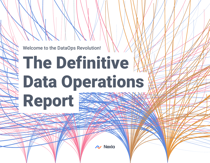Welcome to the DataOps Revolution!

# The Definitive Data Operations **Report**

 $\sim$  Nexia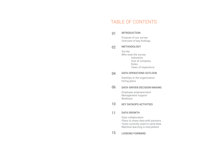## TABLE OF CONTENTS

#### INTRODUCTION 01

Purpose of our survey Overview of key fndings

#### METHODOLOGY 02

Survey Who took the survey Industries Size of company Roles Years of experience

#### DATA OPERATIONS OUTLOOK 04

DataOps in the organization Hiring plans

#### DATA-DRIVEN DECISION MAKING 06

Employee empowerment Management support Workload

#### KEY DATAOPS ACTIVITIES 10

#### DATA GROWTH 11

Data collaboration Plans to share data with partners Tools currently used to send data Machine learning is everywhere

#### LOOKING FORWARD 15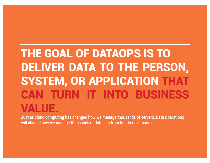# THE GOAL OF DATAOPS IS TO DELIVER DATA TO THE PERSON, SYSTEM, OR APPLICATION THAT CAN TURN IT INTO BUSINESS VALUE.

Just as cloud computing has changed how we manage thousands of servers, Data Operations will change how we manage thousands of datasets from hundreds of sources.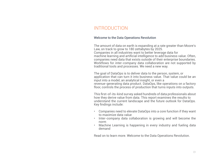## INTRODUCTION

#### Welcome to the Data Operations Revolution

The amount of data on earth is expanding at a rate greater than Moore's Law, on track to grow to 180 zettabytes by 2025. Companies in all industries want to better leverage data for machine learning and artifcial intelligence to add business value. Often, companies need data that exists outside of their enterprise boundaries. Workflows for inter-company data collaboration are not supported by traditional tools and processes. We need a new way.

The goal of DataOps is to deliver data to the person, system, or application that can turn it into business value. That value could be an input into a model, an analytical insight, or even a revenue-generating data product. DataOps, like operations on a factory floor, controls the process of production that turns inputs into outputs.

This frst-of-its-kind survey asked hundreds of data professionals about how they derive value from data. This report examines the results to understand the current landscape and the future outlook for DataOps. Key fndings include:

- Companies need to elevate DataOps into a core function if they want to maximize data value
- Inter-company data collaboration is growing and will become the norm
- Machine Learning is happening in every industry and fueling data demand

Read on to learn more. Welcome to the Data Operations Revolution.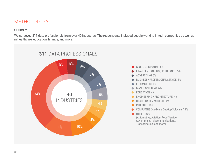## METHODOLOGY

### **SURVEY**

We surveyed 311 data professionals from over 40 industries. The respondents included people working in tech companies as well as in healthcare, education, fnance, and more.



- CLOUD COMPUTING 5%
- **FINANCE / BANKING / INSURANCE 5%**
- **ADVERTISING 6%**
- BUSINESS / PROFESSIONAL SERVICE 6%
- E-COMMERCE 6%
- $\bullet$  MANUFACTURING 6%
- **EDUCATION 4%**
- **ENGINEERING / ARCHITECTURE 4%**
- HEALTHCARE / MEDICAL 4%
- **O** INTERNET 10%
- COMPUTERS (Hardware, Desktop Software) 11%

OTHER 34%  $\bullet$ (Automotive, Aviation, Food Service, Government, Telecommunications, Transportation, and more)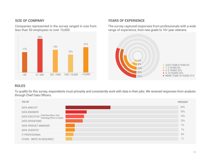#### **SIZE OF COMPANY**

Companies represented in the survey ranged in size from less than 50 employees to over 10,000.



#### **YEARS OF EXPERIENCE**

The survey captured responses from professionals with a wide range of experience, from new grads to 10+ year veterans.



### **ROLES**

To qualify for this survey, respondents must primarily and consistently work with data in their jobs. We received responses from analysts through Chief Data Officers.

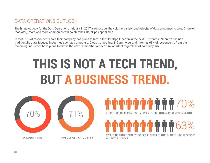## DATA OPERATIONS OUTLOOK

The hiring outlook for the Data Operations industry in 2017 is robust. As the volume, variety, and velocity of data continues to grow (more on that later), more and more companies will bolster their DataOps capabilities.

In fact, 70% of respondents said their company has plans to hire in the DataOps function in the next 12 months. When we exclude traditionally data-focused industries such as Computers, Cloud Computing, E-Commerce, and Internet, 63% of respondents from the remaining industries have plans to hire in the next 12 months. We see similar intent regardless of company size.

# **THIS IS NOT A TECH TREND, BUT A BUSINESS TREND.**





PERCENT OF ALL COMPANIES THAT PLAN TO HIRE IN DATAOPS IN NEXT 12 MONTHS.

63%

EXCLUDING TRADITIONALLY FOCUSED INDUSTRIES THAT PLAN TO HIRE IN DATAOPS IN NEXT 12 MONTHS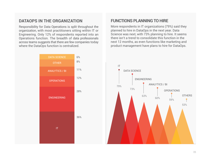### **DATAOPS IN THE ORGANIZATION**

Responsibility for Data Operations is split throughout the organization, with most practitioners sitting within IT or Engineering. Only 12% of respondents reported into an Operations function. The breadth of data professionals across teams suggests that there are few companies today where the DataOps function is centralized.



## **FUNCTIONS PLANNING TO HIRE**

More respondents in IT organizations (79%) said they planned to hire in DataOps in the next year. Data Science was next, with 73% planning to hire. It seems there isn't a trend to consolidate this function in the next 12 months, as even functions like marketing and product management have plans to hire for DataOps.

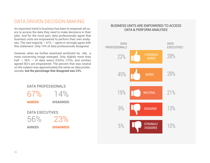## DATA DRIVEN DECISION MAKING

An important trend in business has been to empower all users to access the data they need to make decisions in their jobs. And for the most part, data professionals agree that business units are empowered to perform their own analyses. The vast majority  $-67\%$  – agree or strongly agree with this statement. Only 14% of data professionals disagreed.

However, when we further examined sentiment by role, a more concerning image emerged. Only slightly more than half  $-56% - of data excess (CDOs, CTOs, and similar)$ agreed BU's are empowered. The percent that was neutral on the subject was approximately the same as data professionals, **but the percentage that disagreed was 23%.**



#### BUSINESS UNITS ARE EMPOWERED TO ACCESS DATA & PERFORM ANALYSES

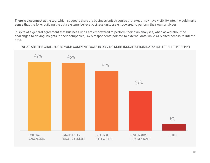**There is disconnect at the top,** which suggests there are business unit struggles that execs may have visibility into. It would make sense that the folks building the data systems believe business units are empowered to perform their own analyses.

In spite of a general agreement that business units are empowered to perform their own analyses, when asked about the challenges to driving insights in their companies, 47% respondents pointed to external data while 41% cited access to internal data.

WHAT ARE THE CHALLENGES YOUR COMPANY FACES IN DRIVING MORE INSIGHTS FROM DATA? (SELECT ALL THAT APPLY)

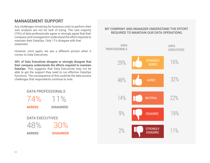## **MANAGEMENT SUPPORT**

Any challenges remaining for business units to perform their own analysis are not for lack of trying. The vast majority (74%) of data professionals agree or strongly agree that their company and management understand the effort required to maintain their DataOps. Only 11% disagree with that statement.

However, once again, we see a different picture when it comes to Data Executives.

**30% of Data Executives disagree or strongly disagree that their company understands the efforts required to maintain DataOps.** This suggests that Data Executives may not be able to get the support they need to run effective DataOps functions. The consequence of this could be the data access challenges that respondents continue to note.



#### MY COMPANY AND MANAGER UNDERSTAND THE EFFORT REQUIRED TO MAINTAIN OUR DATA OPERATIONS

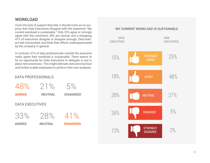## **WORKLOAD**

DATA PROFESSIONALS

Given the lack of support they feel, it should come as no surprise that Data Executives disagree with the statement "My current workload is sustainable." Only 33% agree or strongly agree with this sentiment, 28% are neutral, and a whopping 41% of executives disagree or disagree strongly. Data leaders feel overworked, and think their efforts underappreciated by the company in general.

In contrast, 67% of data professionals outside the executive ranks agree their workload is sustainable. There seems to be an opportunity for Data Executives to delegate or put in place new processes. This might alleviate executive burnout and further enable employees to perform their own analyses.

| 48%                    | 21%            | 5%               |
|------------------------|----------------|------------------|
| <b>AGREED</b>          | <b>NEUTRAL</b> | <b>DISAGREED</b> |
| <b>DATA EXECUTIVES</b> |                |                  |
| 33%                    | 28%            | 41%              |
| <b>AGREED</b>          | <b>NEUTRAL</b> | <b>DISAGREED</b> |
|                        |                |                  |

#### MY CURRENT WORKLOAD IS SUSTAINABLE

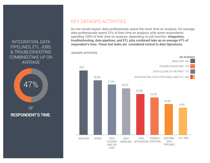## INTEGRATION, DATA PIPELINES, ETL JOBS, & TROUBLESHOOTING COMBINEDTAKE UP ON AVERAGE



**RESPONDENT'S TIME.** 

## KEY DATAOPS ACTIVITIES

As one would expect, data professionals spend the most time on analysis. On average, data professionals spend 22% of their time on analysis, with some respondents spending 100% of their time on analysis, depending on job function. **Integration, troubleshooting, data pipelines, and ETL jobs combined take up on average 47% of respondent's time. These last tasks are considered central to data Operations.**

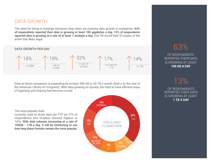## DATA GROWTH

The need for hiring in DataOps becomes clear when we examine data growth in companies. 63% of respondents reported their data is growing at least 100 gigabytes a day. 13% of respondents reported data is growing at a rate of at least 1 terabyte a day. One TB would hold 33 copies of the entire Star Wars saga!

#### **DATA GROWTH PER DAY**



Data at these companies is expanding by at least 300 GB to 30 TB a month (that's 2x the size of the American Library of Congress!). With data growing so quickly, the need to have efficient ways of ingesting and sharing has become crucial.

The most popular tools

currently used to share data are FTP (at 37% of respondents) and Dropbox (second highest at 16%). With data volumes increasing at a rate of 100GB - 1TB a day, it will be interesting to see how long these formats remain the most popular.



## 63%

OF RESPONDENTS REPORTED THEIR DATA **IS GROWING AT LEAST** 100 GB A DAY

13%

OF RESPONDENTS REPORTED THEIR DATA **IS GROWING AT LEAST** 1 TB A DAY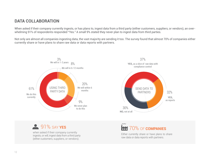## **DATA COLLABORATION**

When asked if their company currently ingests, or has plans to, ingest data from a third party (either customers, suppliers, or vendors), an overwhelming 91% of respondents responded "Yes." A small 9% stated they never plan to ingest data from third parties.

Not only are almost all companies ingesting data, the vast majority are sending it too. The survey found that almost 70% of companies either currently share or have plans to share raw data or data reports with partners.





**91% SAY YES** 

when asked if their company currently ingests, or will, ingest data from a third party (either customers, suppliers, or vendors).

## 70% OF COMPANIES

Either currently share or have plans to share raw data or data reports with partners.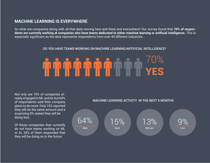### **MACHINE LEARNING IS EVERYWHERE**

So what are companies doing with all that data moving here and there and everywhere? Our survey found that **70% of respondents are currently working at companies who have teams dedicated to either machine learning or artifcial intelligence.** This is especially signifcant as the data represents respondents from over 40 different industries.

#### DO YOU HAVE TEAMS WORKING ON MACHINE LEARNING/ARTIFICIAL INTELLIGENCE?

## 70% YES

Not only are 70% of companies already engaged in ML and AI, but 64% of respondents said their company plans to do more. Only 15% reported they will do the same amount and a surprising 9% stated they will be doing less.

Of those companies that currently do not have teams working on ML or AI, 34% of them responded that they will be doing so in the future.

#### MACHINE LEARNING ACTIVITY IN THE NEXT 6 MONTHS

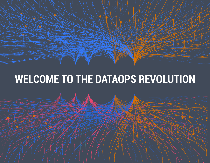## WELCOME TO THE DATAOPS REVOLUTION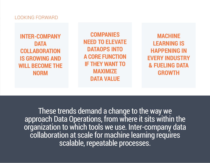## LOOKING FORWARD

**INTER-COMPANY DATA COLLABORATION IS GROWING AND WILL BECOME THE NORM**

**COMPANIES NEED TO ELEVATE DATAOPS INTO A CORE FUNCTION IF THEY WANT TO MAXIMIZE DATA VALUE**

**MACHINE LEARNING IS HAPPENING IN EVERY INDUSTRY & FUELING DATA GROWTH**

These trends demand a change to the way we approach Data Operations, from where it sits within the organization to which tools we use. Inter-company data collaboration at scale for machine learning requires scalable, repeatable processes.